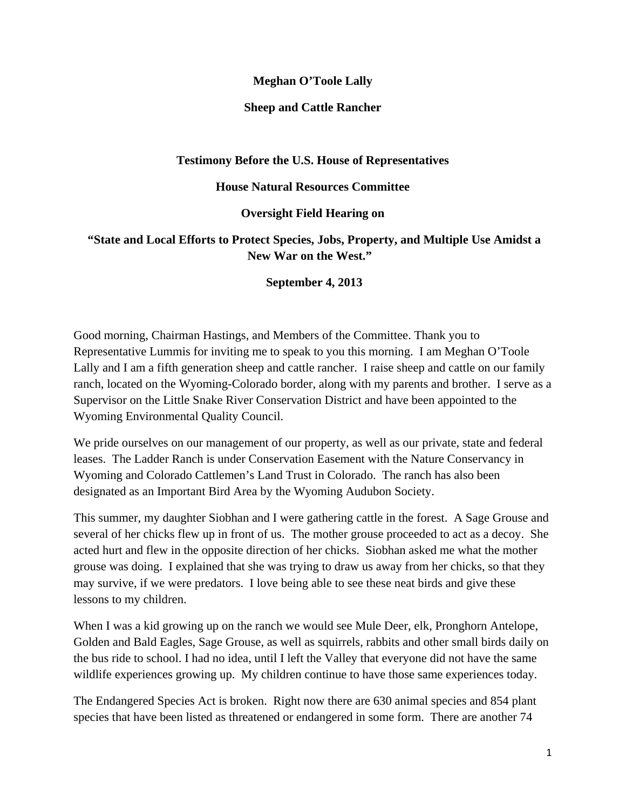## **Meghan O'Toole Lally**

#### **Sheep and Cattle Rancher**

## **Testimony Before the U.S. House of Representatives**

#### **House Natural Resources Committee**

## **Oversight Field Hearing on**

# **"State and Local Efforts to Protect Species, Jobs, Property, and Multiple Use Amidst a New War on the West."**

## **September 4, 2013**

Good morning, Chairman Hastings, and Members of the Committee. Thank you to Representative Lummis for inviting me to speak to you this morning. I am Meghan O'Toole Lally and I am a fifth generation sheep and cattle rancher. I raise sheep and cattle on our family ranch, located on the Wyoming-Colorado border, along with my parents and brother. I serve as a Supervisor on the Little Snake River Conservation District and have been appointed to the Wyoming Environmental Quality Council.

We pride ourselves on our management of our property, as well as our private, state and federal leases. The Ladder Ranch is under Conservation Easement with the Nature Conservancy in Wyoming and Colorado Cattlemen's Land Trust in Colorado. The ranch has also been designated as an Important Bird Area by the Wyoming Audubon Society.

This summer, my daughter Siobhan and I were gathering cattle in the forest. A Sage Grouse and several of her chicks flew up in front of us. The mother grouse proceeded to act as a decoy. She acted hurt and flew in the opposite direction of her chicks. Siobhan asked me what the mother grouse was doing. I explained that she was trying to draw us away from her chicks, so that they may survive, if we were predators. I love being able to see these neat birds and give these lessons to my children.

When I was a kid growing up on the ranch we would see Mule Deer, elk, Pronghorn Antelope, Golden and Bald Eagles, Sage Grouse, as well as squirrels, rabbits and other small birds daily on the bus ride to school. I had no idea, until I left the Valley that everyone did not have the same wildlife experiences growing up. My children continue to have those same experiences today.

The Endangered Species Act is broken. Right now there are 630 animal species and 854 plant species that have been listed as threatened or endangered in some form. There are another 74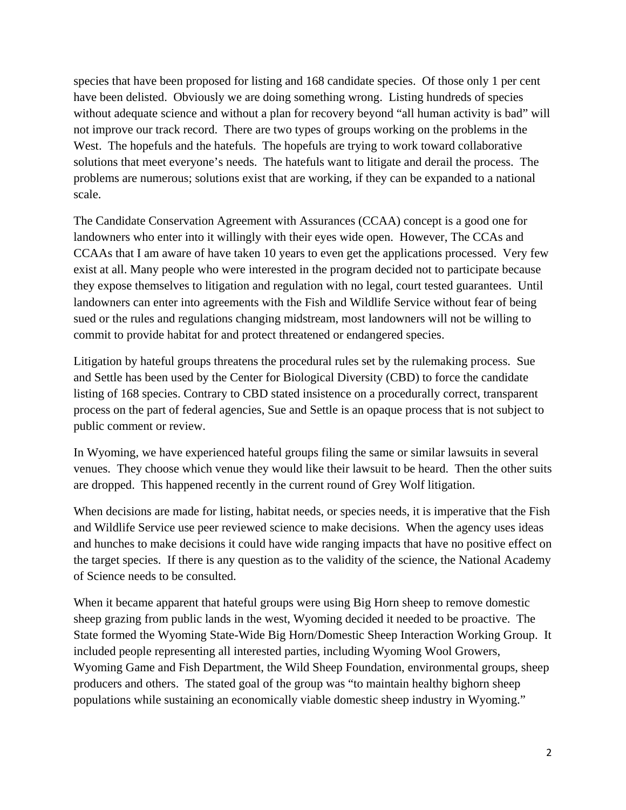species that have been proposed for listing and 168 candidate species. Of those only 1 per cent have been delisted. Obviously we are doing something wrong. Listing hundreds of species without adequate science and without a plan for recovery beyond "all human activity is bad" will not improve our track record. There are two types of groups working on the problems in the West. The hopefuls and the hatefuls. The hopefuls are trying to work toward collaborative solutions that meet everyone's needs. The hatefuls want to litigate and derail the process. The problems are numerous; solutions exist that are working, if they can be expanded to a national scale.

The Candidate Conservation Agreement with Assurances (CCAA) concept is a good one for landowners who enter into it willingly with their eyes wide open. However, The CCAs and CCAAs that I am aware of have taken 10 years to even get the applications processed. Very few exist at all. Many people who were interested in the program decided not to participate because they expose themselves to litigation and regulation with no legal, court tested guarantees. Until landowners can enter into agreements with the Fish and Wildlife Service without fear of being sued or the rules and regulations changing midstream, most landowners will not be willing to commit to provide habitat for and protect threatened or endangered species.

Litigation by hateful groups threatens the procedural rules set by the rulemaking process. Sue and Settle has been used by the Center for Biological Diversity (CBD) to force the candidate listing of 168 species. Contrary to CBD stated insistence on a procedurally correct, transparent process on the part of federal agencies, Sue and Settle is an opaque process that is not subject to public comment or review.

In Wyoming, we have experienced hateful groups filing the same or similar lawsuits in several venues. They choose which venue they would like their lawsuit to be heard. Then the other suits are dropped. This happened recently in the current round of Grey Wolf litigation.

When decisions are made for listing, habitat needs, or species needs, it is imperative that the Fish and Wildlife Service use peer reviewed science to make decisions. When the agency uses ideas and hunches to make decisions it could have wide ranging impacts that have no positive effect on the target species. If there is any question as to the validity of the science, the National Academy of Science needs to be consulted.

When it became apparent that hateful groups were using Big Horn sheep to remove domestic sheep grazing from public lands in the west, Wyoming decided it needed to be proactive. The State formed the Wyoming State-Wide Big Horn/Domestic Sheep Interaction Working Group. It included people representing all interested parties, including Wyoming Wool Growers, Wyoming Game and Fish Department, the Wild Sheep Foundation, environmental groups, sheep producers and others. The stated goal of the group was "to maintain healthy bighorn sheep populations while sustaining an economically viable domestic sheep industry in Wyoming."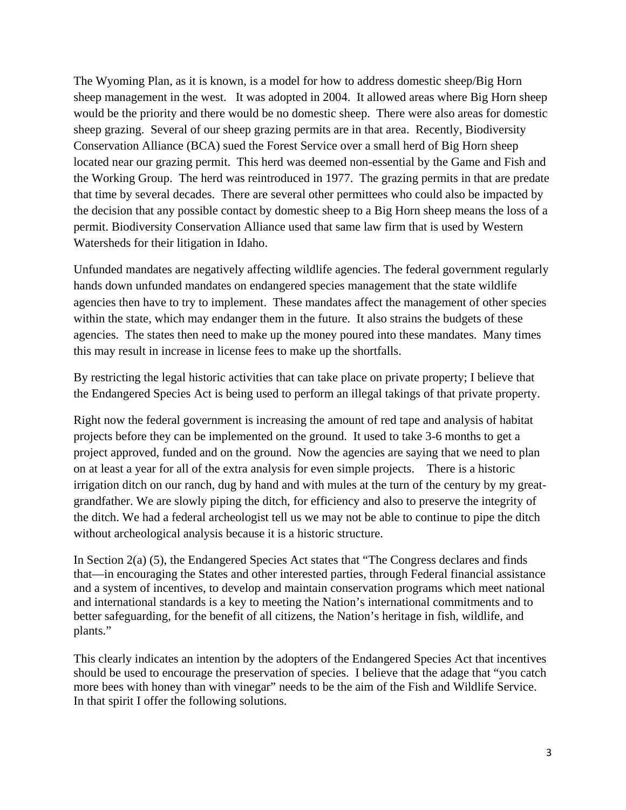The Wyoming Plan, as it is known, is a model for how to address domestic sheep/Big Horn sheep management in the west. It was adopted in 2004. It allowed areas where Big Horn sheep would be the priority and there would be no domestic sheep. There were also areas for domestic sheep grazing. Several of our sheep grazing permits are in that area. Recently, Biodiversity Conservation Alliance (BCA) sued the Forest Service over a small herd of Big Horn sheep located near our grazing permit. This herd was deemed non-essential by the Game and Fish and the Working Group. The herd was reintroduced in 1977. The grazing permits in that are predate that time by several decades. There are several other permittees who could also be impacted by the decision that any possible contact by domestic sheep to a Big Horn sheep means the loss of a permit. Biodiversity Conservation Alliance used that same law firm that is used by Western Watersheds for their litigation in Idaho.

Unfunded mandates are negatively affecting wildlife agencies. The federal government regularly hands down unfunded mandates on endangered species management that the state wildlife agencies then have to try to implement. These mandates affect the management of other species within the state, which may endanger them in the future. It also strains the budgets of these agencies. The states then need to make up the money poured into these mandates. Many times this may result in increase in license fees to make up the shortfalls.

By restricting the legal historic activities that can take place on private property; I believe that the Endangered Species Act is being used to perform an illegal takings of that private property.

Right now the federal government is increasing the amount of red tape and analysis of habitat projects before they can be implemented on the ground. It used to take 3-6 months to get a project approved, funded and on the ground. Now the agencies are saying that we need to plan on at least a year for all of the extra analysis for even simple projects. There is a historic irrigation ditch on our ranch, dug by hand and with mules at the turn of the century by my greatgrandfather. We are slowly piping the ditch, for efficiency and also to preserve the integrity of the ditch. We had a federal archeologist tell us we may not be able to continue to pipe the ditch without archeological analysis because it is a historic structure.

In Section 2(a) (5), the Endangered Species Act states that "The Congress declares and finds that—in encouraging the States and other interested parties, through Federal financial assistance and a system of incentives, to develop and maintain conservation programs which meet national and international standards is a key to meeting the Nation's international commitments and to better safeguarding, for the benefit of all citizens, the Nation's heritage in fish, wildlife, and plants."

This clearly indicates an intention by the adopters of the Endangered Species Act that incentives should be used to encourage the preservation of species. I believe that the adage that "you catch more bees with honey than with vinegar" needs to be the aim of the Fish and Wildlife Service. In that spirit I offer the following solutions.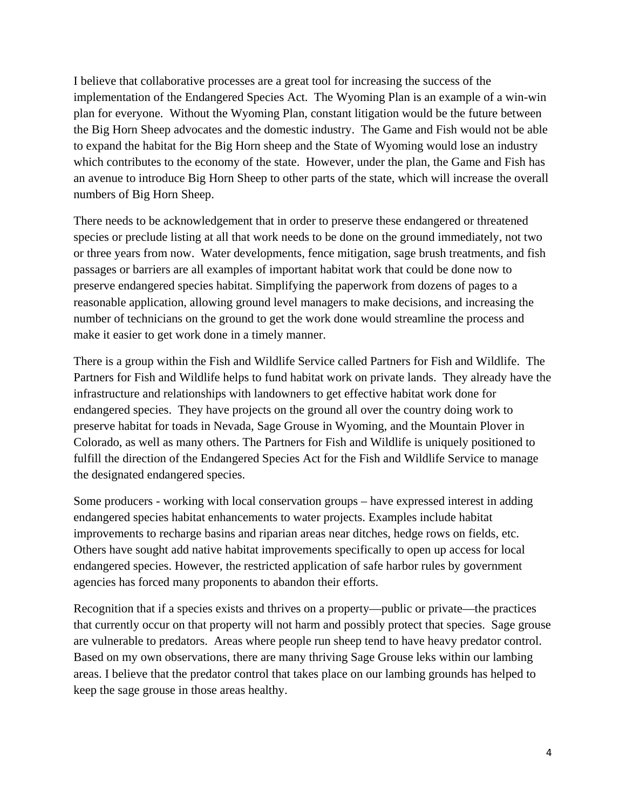I believe that collaborative processes are a great tool for increasing the success of the implementation of the Endangered Species Act. The Wyoming Plan is an example of a win-win plan for everyone. Without the Wyoming Plan, constant litigation would be the future between the Big Horn Sheep advocates and the domestic industry. The Game and Fish would not be able to expand the habitat for the Big Horn sheep and the State of Wyoming would lose an industry which contributes to the economy of the state. However, under the plan, the Game and Fish has an avenue to introduce Big Horn Sheep to other parts of the state, which will increase the overall numbers of Big Horn Sheep.

There needs to be acknowledgement that in order to preserve these endangered or threatened species or preclude listing at all that work needs to be done on the ground immediately, not two or three years from now. Water developments, fence mitigation, sage brush treatments, and fish passages or barriers are all examples of important habitat work that could be done now to preserve endangered species habitat. Simplifying the paperwork from dozens of pages to a reasonable application, allowing ground level managers to make decisions, and increasing the number of technicians on the ground to get the work done would streamline the process and make it easier to get work done in a timely manner.

There is a group within the Fish and Wildlife Service called Partners for Fish and Wildlife. The Partners for Fish and Wildlife helps to fund habitat work on private lands. They already have the infrastructure and relationships with landowners to get effective habitat work done for endangered species. They have projects on the ground all over the country doing work to preserve habitat for toads in Nevada, Sage Grouse in Wyoming, and the Mountain Plover in Colorado, as well as many others. The Partners for Fish and Wildlife is uniquely positioned to fulfill the direction of the Endangered Species Act for the Fish and Wildlife Service to manage the designated endangered species.

Some producers - working with local conservation groups – have expressed interest in adding endangered species habitat enhancements to water projects. Examples include habitat improvements to recharge basins and riparian areas near ditches, hedge rows on fields, etc. Others have sought add native habitat improvements specifically to open up access for local endangered species. However, the restricted application of safe harbor rules by government agencies has forced many proponents to abandon their efforts.

Recognition that if a species exists and thrives on a property—public or private—the practices that currently occur on that property will not harm and possibly protect that species. Sage grouse are vulnerable to predators. Areas where people run sheep tend to have heavy predator control. Based on my own observations, there are many thriving Sage Grouse leks within our lambing areas. I believe that the predator control that takes place on our lambing grounds has helped to keep the sage grouse in those areas healthy.